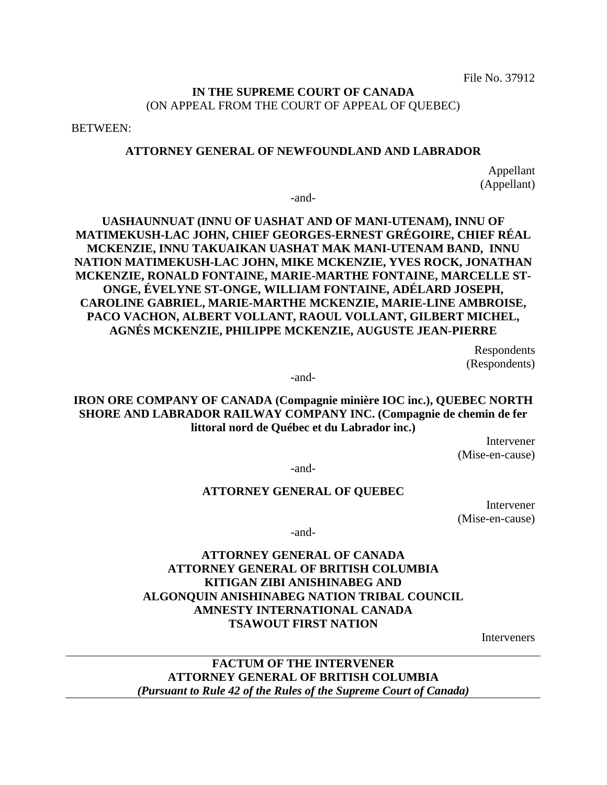File No. 37912

## **IN THE SUPREME COURT OF CANADA** (ON APPEAL FROM THE COURT OF APPEAL OF QUEBEC)

BETWEEN:

#### **ATTORNEY GENERAL OF NEWFOUNDLAND AND LABRADOR**

Appellant (Appellant)

-and-

**UASHAUNNUAT (INNU OF UASHAT AND OF MANI-UTENAM), INNU OF MATIMEKUSH-LAC JOHN, CHIEF GEORGES-ERNEST GRÉGOIRE, CHIEF RÉAL MCKENZIE, INNU TAKUAIKAN UASHAT MAK MANI-UTENAM BAND, INNU NATION MATIMEKUSH-LAC JOHN, MIKE MCKENZIE, YVES ROCK, JONATHAN MCKENZIE, RONALD FONTAINE, MARIE-MARTHE FONTAINE, MARCELLE ST-ONGE, ÉVELYNE ST-ONGE, WILLIAM FONTAINE, ADÉLARD JOSEPH, CAROLINE GABRIEL, MARIE-MARTHE MCKENZIE, MARIE-LINE AMBROISE, PACO VACHON, ALBERT VOLLANT, RAOUL VOLLANT, GILBERT MICHEL, AGNÉS MCKENZIE, PHILIPPE MCKENZIE, AUGUSTE JEAN-PIERRE**

> Respondents (Respondents)

-and-

**IRON ORE COMPANY OF CANADA (Compagnie minière IOC inc.), QUEBEC NORTH SHORE AND LABRADOR RAILWAY COMPANY INC. (Compagnie de chemin de fer littoral nord de Québec et du Labrador inc.)**

> Intervener (Mise-en-cause)

-and-

### **ATTORNEY GENERAL OF QUEBEC**

Intervener (Mise-en-cause)

-and-

# **ATTORNEY GENERAL OF CANADA ATTORNEY GENERAL OF BRITISH COLUMBIA KITIGAN ZIBI ANISHINABEG AND ALGONQUIN ANISHINABEG NATION TRIBAL COUNCIL AMNESTY INTERNATIONAL CANADA TSAWOUT FIRST NATION**

Interveners

**FACTUM OF THE INTERVENER ATTORNEY GENERAL OF BRITISH COLUMBIA** *(Pursuant to Rule 42 of the Rules of the Supreme Court of Canada)*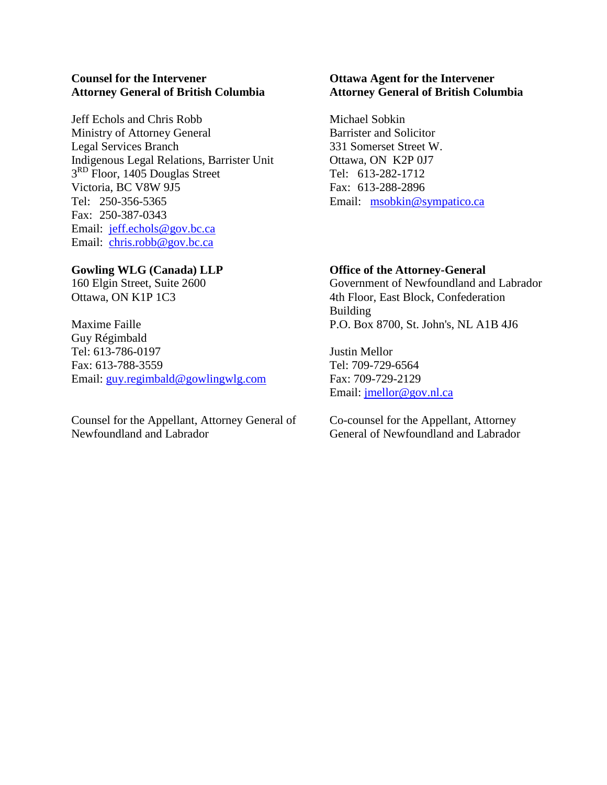## **Counsel for the Intervener Attorney General of British Columbia**

Jeff Echols and Chris Robb Ministry of Attorney General Legal Services Branch Indigenous Legal Relations, Barrister Unit 3<sup>RD</sup> Floor, 1405 Douglas Street Victoria, BC V8W 9J5 Tel: 250-356-5365 Fax: 250-387-0343 Email: [jeff.echols@gov.bc.ca](mailto:jeff.echols@gov.bc.ca) Email: [chris.robb@gov.bc.ca](mailto:chris.robb@gov.bc.ca)

## **Gowling WLG (Canada) LLP**

160 Elgin Street, Suite 2600 Ottawa, ON K1P 1C3

Maxime Faille Guy Régimbald Tel: 613-786-0197 Fax: 613-788-3559 Email: [guy.regimbald@gowlingwlg.com](mailto:guy.regimbald@gowlingwlg.com)

Counsel for the Appellant, Attorney General of Newfoundland and Labrador

## **Ottawa Agent for the Intervener Attorney General of British Columbia**

Michael Sobkin Barrister and Solicitor 331 Somerset Street W. Ottawa, ON K2P 0J7 Tel: 613-282-1712 Fax: 613-288-2896 Email: [msobkin@sympatico.ca](mailto:msobkin@sympatico.ca)

## **Office of the Attorney-General**

Government of Newfoundland and Labrador 4th Floor, East Block, Confederation Building P.O. Box 8700, St. John's, NL A1B 4J6

Justin Mellor Tel: 709-729-6564 Fax: 709-729-2129 Email: [jmellor@gov.nl.ca](mailto:jmellor@gov.nl.ca)

Co-counsel for the Appellant, Attorney General of Newfoundland and Labrador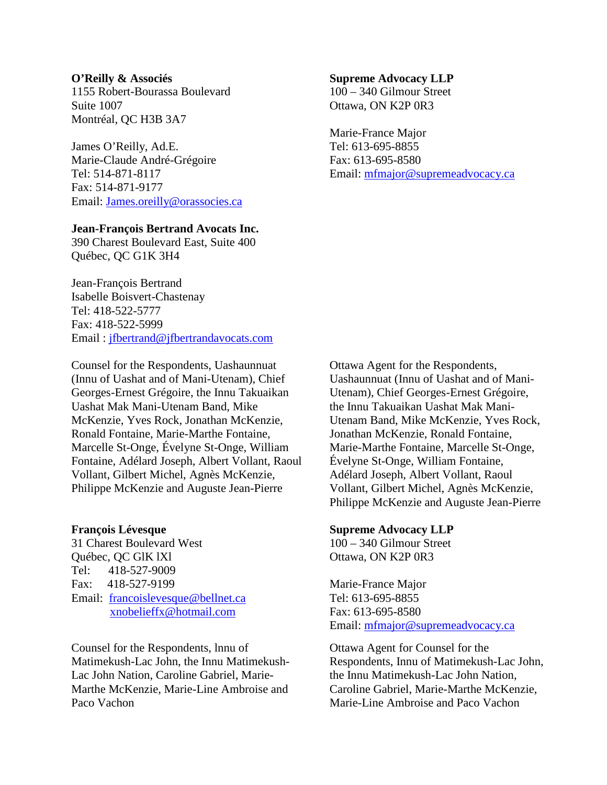#### **O'Reilly & Associés**

1155 Robert-Bourassa Boulevard Suite 1007 Montréal, QC H3B 3A7

James O'Reilly, Ad.E. Marie-Claude André-Grégoire Tel: 514-871-8117 Fax: 514-871-9177 Email: [James.oreilly@orassocies.ca](mailto:James.oreilly@orassocies.ca)

#### **Jean-François Bertrand Avocats Inc.**

390 Charest Boulevard East, Suite 400 Québec, QC G1K 3H4

Jean-François Bertrand Isabelle Boisvert-Chastenay Tel: 418-522-5777 Fax: 418-522-5999 Email : [jfbertrand@jfbertrandavocats.com](mailto:jfbertrand@jfbertrandavocats.com)

Counsel for the Respondents, Uashaunnuat (Innu of Uashat and of Mani-Utenam), Chief Georges-Ernest Grégoire, the Innu Takuaikan Uashat Mak Mani-Utenam Band, Mike McKenzie, Yves Rock, Jonathan McKenzie, Ronald Fontaine, Marie-Marthe Fontaine, Marcelle St-Onge, Évelyne St-Onge, William Fontaine, Adélard Joseph, Albert Vollant, Raoul Vollant, Gilbert Michel, Agnès McKenzie, Philippe McKenzie and Auguste Jean-Pierre

#### **François Lévesque**

31 Charest Boulevard West Québec, QC GlK lXl Tel: 418-527-9009 Fax: 418-527-9199 Email: [francoislevesque@bellnet.ca](mailto:francoislevesque@bellnet.ca) [xnobelieffx@hotmail.com](mailto:xnobelieffx@hotmail.com)

Counsel for the Respondents, lnnu of Matimekush-Lac John, the Innu Matimekush-Lac John Nation, Caroline Gabriel, Marie-Marthe McKenzie, Marie-Line Ambroise and Paco Vachon

#### **Supreme Advocacy LLP**

100 – 340 Gilmour Street Ottawa, ON K2P 0R3

Marie-France Major Tel: 613-695-8855 Fax: 613-695-8580 Email: [mfmajor@supremeadvocacy.ca](mailto:mfmajor@supremeadvocacy.ca)

Ottawa Agent for the Respondents, Uashaunnuat (Innu of Uashat and of Mani-Utenam), Chief Georges-Ernest Grégoire, the Innu Takuaikan Uashat Mak Mani-Utenam Band, Mike McKenzie, Yves Rock, Jonathan McKenzie, Ronald Fontaine, Marie-Marthe Fontaine, Marcelle St-Onge, Évelyne St-Onge, William Fontaine, Adélard Joseph, Albert Vollant, Raoul Vollant, Gilbert Michel, Agnès McKenzie, Philippe McKenzie and Auguste Jean-Pierre

#### **Supreme Advocacy LLP**

100 – 340 Gilmour Street Ottawa, ON K2P 0R3

Marie-France Major Tel: 613-695-8855 Fax: 613-695-8580 Email: [mfmajor@supremeadvocacy.ca](mailto:mfmajor@supremeadvocacy.ca)

Ottawa Agent for Counsel for the Respondents, Innu of Matimekush-Lac John, the Innu Matimekush-Lac John Nation, Caroline Gabriel, Marie-Marthe McKenzie, Marie-Line Ambroise and Paco Vachon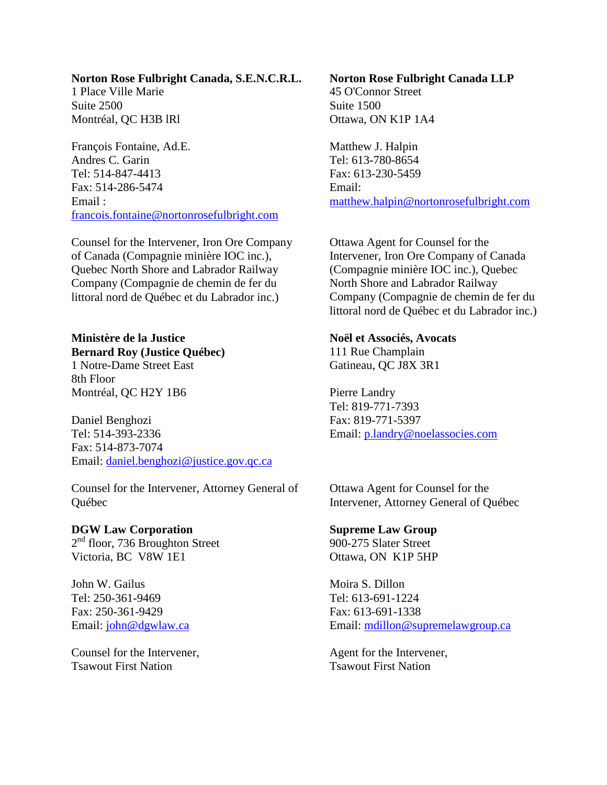#### **Norton Rose Fulbright Canada, S.E.N.C.R.L.**

1 Place Ville Marie Suite 2500 Montréal, QC H3B lRl

François Fontaine, Ad.E. Andres C. Garin Tel: 514-847-4413 Fax: 514-286-5474 Email : [francois.fontaine@nortonrosefulbright.com](mailto:francois.fontaine@nortonrosefulbright.com)

Counsel for the Intervener, Iron Ore Company of Canada (Compagnie minière IOC inc.), Quebec North Shore and Labrador Railway Company (Compagnie de chemin de fer du littoral nord de Québec et du Labrador inc.)

# **Ministère de la Justice Bernard Roy (Justice Québec)**

1 Notre-Dame Street East 8th Floor Montréal, QC H2Y 1B6

Daniel Benghozi Tel: 514-393-2336 Fax: 514-873-7074 Email: [daniel.benghozi@justice.gov.qc.ca](mailto:daniel.benghozi@justice.gov.qc.ca)

Counsel for the Intervener, Attorney General of Québec

## **DGW Law Corporation**

 $2<sup>nd</sup>$  floor, 736 Broughton Street Victoria, BC V8W 1E1

John W. Gailus Tel: 250-361-9469 Fax: 250-361-9429 Email: [john@dgwlaw.ca](mailto:john@dgwlaw.ca)

Counsel for the Intervener, Tsawout First Nation

## **Norton Rose Fulbright Canada LLP** 45 O'Connor Street Suite 1500 Ottawa, ON K1P 1A4

Matthew J. Halpin Tel: 613-780-8654 Fax: 613-230-5459 Email: [matthew.halpin@nortonrosefulbright.com](mailto:matthew.halpin@nortonrosefulbright.com)

Ottawa Agent for Counsel for the Intervener, Iron Ore Company of Canada (Compagnie minière IOC inc.), Quebec North Shore and Labrador Railway Company (Compagnie de chemin de fer du littoral nord de Québec et du Labrador inc.)

### **Noël et Associés, Avocats**

111 Rue Champlain Gatineau, QC J8X 3R1

Pierre Landry Tel: 819-771-7393 Fax: 819-771-5397 Email: [p.landry@noelassocies.com](mailto:p.landry@noelassocies.com)

Ottawa Agent for Counsel for the Intervener, Attorney General of Québec

### **Supreme Law Group**

900-275 Slater Street Ottawa, ON K1P 5HP

Moira S. Dillon Tel: 613-691-1224 Fax: 613-691-1338 Email: [mdillon@supremelawgroup.ca](mailto:mdillon@supremelawgroup.ca)

Agent for the Intervener, Tsawout First Nation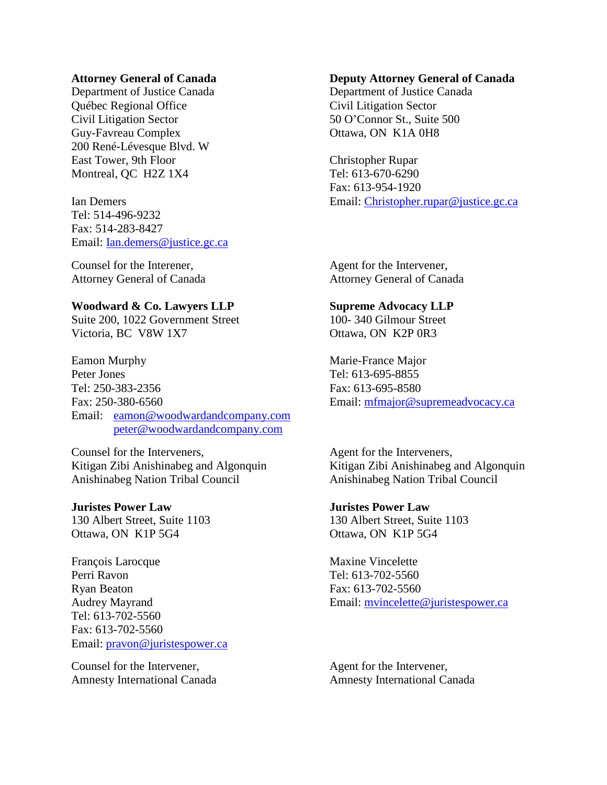#### **Attorney General of Canada**

Department of Justice Canada Québec Regional Office Civil Litigation Sector Guy-Favreau Complex 200 René-Lévesque Blvd. W East Tower, 9th Floor Montreal, QC H2Z 1X4

Ian Demers Tel: 514-496-9232 Fax: 514-283-8427 Email: [Ian.demers@justice.gc.ca](mailto:Ian.demers@justice.gc.ca)

Counsel for the Interener, Attorney General of Canada

#### **Woodward & Co. Lawyers LLP**

Suite 200, 1022 Government Street Victoria, BC V8W 1X7

Eamon Murphy Peter Jones Tel: 250-383-2356 Fax: 250-380-6560 Email: [eamon@woodwardandcompany.com](mailto:eamon@woodwardandcompany.com) [peter@woodwardandcompany.com](mailto:peter@woodwardandcompany.com)

Counsel for the Interveners, Kitigan Zibi Anishinabeg and Algonquin Anishinabeg Nation Tribal Council

#### **Juristes Power Law**

130 Albert Street, Suite 1103 Ottawa, ON K1P 5G4

François Larocque Perri Ravon Ryan Beaton Audrey Mayrand Tel: 613-702-5560 Fax: 613-702-5560 Email: [pravon@juristespower.ca](mailto:pravon@juristespower.ca)

Counsel for the Intervener, Amnesty International Canada

#### **Deputy Attorney General of Canada**

Department of Justice Canada Civil Litigation Sector 50 O'Connor St., Suite 500 Ottawa, ON K1A 0H8

Christopher Rupar Tel: 613-670-6290 Fax: 613-954-1920 Email: [Christopher.rupar@justice.gc.ca](mailto:Christopher.rupar@justice.gc.ca)

Agent for the Intervener, Attorney General of Canada

### **Supreme Advocacy LLP**

100- 340 Gilmour Street Ottawa, ON K2P 0R3

Marie-France Major Tel: 613-695-8855 Fax: 613-695-8580 Email: [mfmajor@supremeadvocacy.ca](mailto:mfmajor@supremeadvocacy.ca)

Agent for the Interveners, Kitigan Zibi Anishinabeg and Algonquin Anishinabeg Nation Tribal Council

**Juristes Power Law** 130 Albert Street, Suite 1103 Ottawa, ON K1P 5G4

Maxine Vincelette Tel: 613-702-5560 Fax: 613-702-5560 Email: [mvincelette@juristespower.ca](mailto:mvincelette@juristespower.ca)

Agent for the Intervener, Amnesty International Canada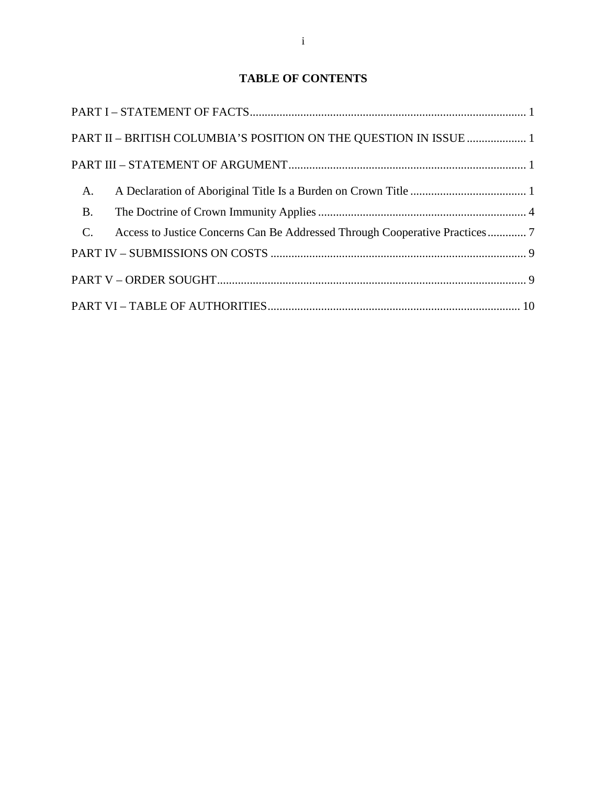# **TABLE OF CONTENTS**

| PART II - BRITISH COLUMBIA'S POSITION ON THE QUESTION IN ISSUE  1                          |
|--------------------------------------------------------------------------------------------|
|                                                                                            |
| A.                                                                                         |
| <b>B.</b>                                                                                  |
| $C_{\cdot}$<br>Access to Justice Concerns Can Be Addressed Through Cooperative Practices 7 |
|                                                                                            |
|                                                                                            |
|                                                                                            |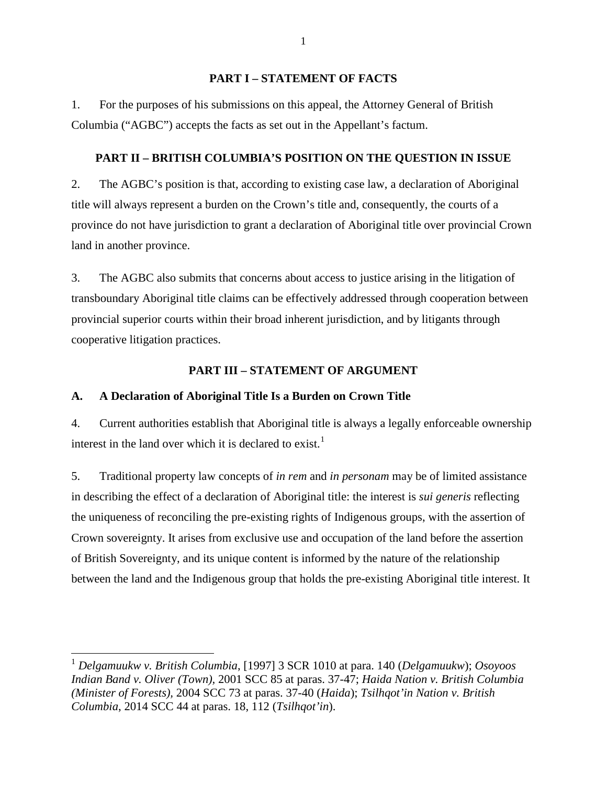### **PART I – STATEMENT OF FACTS**

<span id="page-6-0"></span>1. For the purposes of his submissions on this appeal, the Attorney General of British Columbia ("AGBC") accepts the facts as set out in the Appellant's factum.

# <span id="page-6-1"></span>**PART II – BRITISH COLUMBIA'S POSITION ON THE QUESTION IN ISSUE**

2. The AGBC's position is that, according to existing case law, a declaration of Aboriginal title will always represent a burden on the Crown's title and, consequently, the courts of a province do not have jurisdiction to grant a declaration of Aboriginal title over provincial Crown land in another province.

3. The AGBC also submits that concerns about access to justice arising in the litigation of transboundary Aboriginal title claims can be effectively addressed through cooperation between provincial superior courts within their broad inherent jurisdiction, and by litigants through cooperative litigation practices.

## **PART III – STATEMENT OF ARGUMENT**

## <span id="page-6-3"></span><span id="page-6-2"></span>**A. A Declaration of Aboriginal Title Is a Burden on Crown Title**

4. Current authorities establish that Aboriginal title is always a legally enforceable ownership interest in the land over which it is declared to exist.<sup>[1](#page-6-4)</sup>

5. Traditional property law concepts of *in rem* and *in personam* may be of limited assistance in describing the effect of a declaration of Aboriginal title: the interest is *sui generis* reflecting the uniqueness of reconciling the pre-existing rights of Indigenous groups, with the assertion of Crown sovereignty. It arises from exclusive use and occupation of the land before the assertion of British Sovereignty, and its unique content is informed by the nature of the relationship between the land and the Indigenous group that holds the pre-existing Aboriginal title interest. It

1

<span id="page-6-4"></span><sup>1</sup> *Delgamuukw v. British Columbia*, [1997] 3 SCR 1010 at para. 140 (*Delgamuukw*); *Osoyoos Indian Band v. Oliver (Town),* 2001 SCC 85 at paras. 37-47; *Haida Nation v. British Columbia (Minister of Forests),* 2004 SCC 73 at paras. 37-40 (*Haida*); *Tsilhqot'in Nation v. British Columbia*, 2014 SCC 44 at paras. 18, 112 (*Tsilhqot'in*).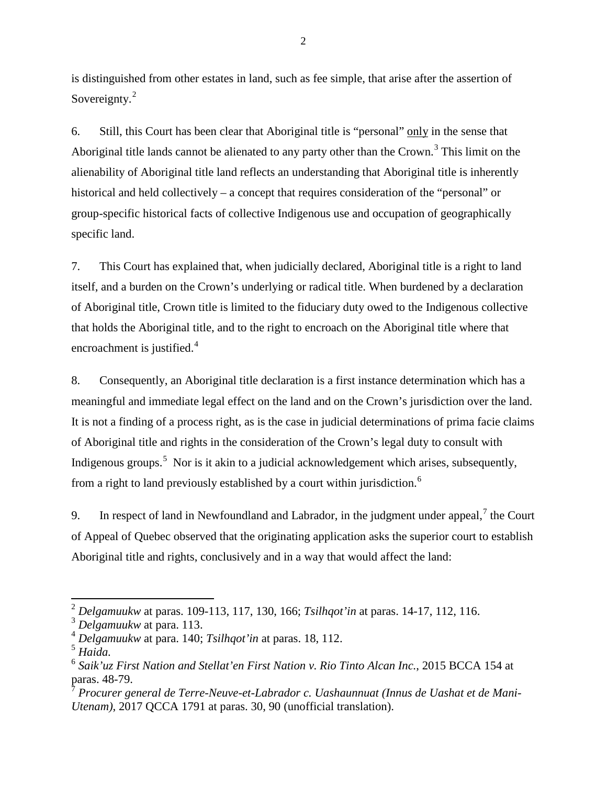is distinguished from other estates in land, such as fee simple, that arise after the assertion of Sovereignty.<sup>[2](#page-7-0)</sup>

6. Still, this Court has been clear that Aboriginal title is "personal" only in the sense that Aboriginal title lands cannot be alienated to any party other than the Crown.<sup>[3](#page-7-1)</sup> This limit on the alienability of Aboriginal title land reflects an understanding that Aboriginal title is inherently historical and held collectively – a concept that requires consideration of the "personal" or group-specific historical facts of collective Indigenous use and occupation of geographically specific land.

7. This Court has explained that, when judicially declared, Aboriginal title is a right to land itself, and a burden on the Crown's underlying or radical title. When burdened by a declaration of Aboriginal title, Crown title is limited to the fiduciary duty owed to the Indigenous collective that holds the Aboriginal title, and to the right to encroach on the Aboriginal title where that encroachment is justified.<sup>[4](#page-7-2)</sup>

8. Consequently, an Aboriginal title declaration is a first instance determination which has a meaningful and immediate legal effect on the land and on the Crown's jurisdiction over the land. It is not a finding of a process right, as is the case in judicial determinations of prima facie claims of Aboriginal title and rights in the consideration of the Crown's legal duty to consult with Indigenous groups.<sup>[5](#page-7-3)</sup> Nor is it akin to a judicial acknowledgement which arises, subsequently, from a right to land previously established by a court within jurisdiction.[6](#page-7-4)

9. In respect of land in Newfoundland and Labrador, in the judgment under appeal,  $\frac{7}{7}$  $\frac{7}{7}$  $\frac{7}{7}$  the Court of Appeal of Quebec observed that the originating application asks the superior court to establish Aboriginal title and rights, conclusively and in a way that would affect the land:

<span id="page-7-0"></span><sup>2</sup> *Delgamuukw* at paras. 109-113, 117, 130, 166; *Tsilhqot'in* at paras. 14-17, 112, 116.

<span id="page-7-1"></span><sup>3</sup> *Delgamuukw* at para. 113.

<span id="page-7-2"></span><sup>4</sup> *Delgamuukw* at para. 140; *Tsilhqot'in* at paras. 18, 112.

<span id="page-7-3"></span><sup>5</sup> *Haida.*

<span id="page-7-4"></span><sup>6</sup> *Saik'uz First Nation and Stellat'en First Nation v. Rio Tinto Alcan Inc.*, 2015 BCCA 154 at paras. 48-79.

<span id="page-7-5"></span><sup>7</sup> *Procurer general de Terre-Neuve-et-Labrador c. Uashaunnuat (Innus de Uashat et de Mani-Utenam)*, 2017 QCCA 1791 at paras. 30, 90 (unofficial translation).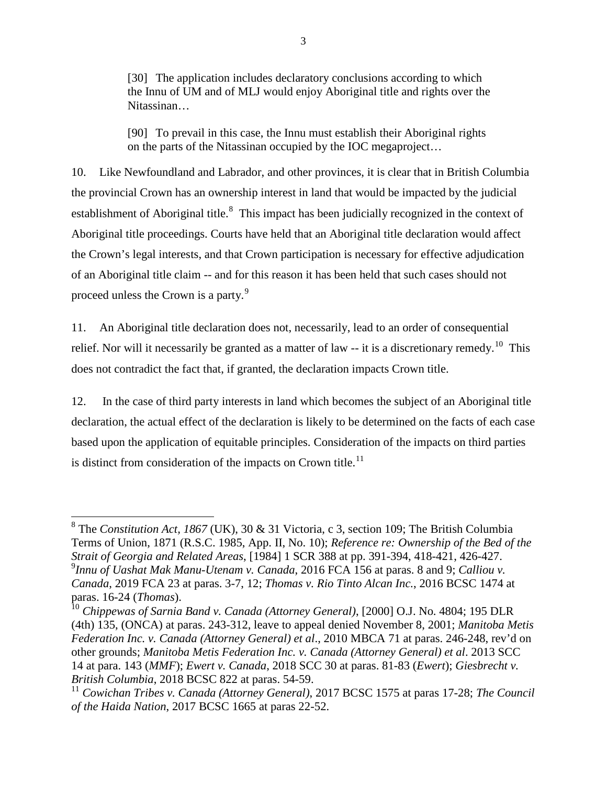[30] The application includes declaratory conclusions according to which the Innu of UM and of MLJ would enjoy Aboriginal title and rights over the Nitassinan…

[90] To prevail in this case, the Innu must establish their Aboriginal rights on the parts of the Nitassinan occupied by the IOC megaproject…

10. Like Newfoundland and Labrador, and other provinces, it is clear that in British Columbia the provincial Crown has an ownership interest in land that would be impacted by the judicial establishment of Aboriginal title.<sup>[8](#page-8-0)</sup> This impact has been judicially recognized in the context of Aboriginal title proceedings. Courts have held that an Aboriginal title declaration would affect the Crown's legal interests, and that Crown participation is necessary for effective adjudication of an Aboriginal title claim -- and for this reason it has been held that such cases should not proceed unless the Crown is a party.<sup>[9](#page-8-1)</sup>

11. An Aboriginal title declaration does not, necessarily, lead to an order of consequential relief. Nor will it necessarily be granted as a matter of law  $-$  it is a discretionary remedy.<sup>[10](#page-8-2)</sup> This does not contradict the fact that, if granted, the declaration impacts Crown title.

12. In the case of third party interests in land which becomes the subject of an Aboriginal title declaration, the actual effect of the declaration is likely to be determined on the facts of each case based upon the application of equitable principles. Consideration of the impacts on third parties is distinct from consideration of the impacts on Crown title.<sup>[11](#page-8-3)</sup>

<span id="page-8-0"></span><sup>8</sup> The *Constitution Act, 1867* (UK), 30 & 31 Victoria, c 3, section 109; The British Columbia Terms of Union, 1871 (R.S.C. 1985, App. II, No. 10); *Reference re: Ownership of the Bed of the Strait of Georgia and Related Areas*, [1984] 1 SCR 388 at pp. 391-394, 418-421, 426-427. <sup>9</sup> *Innu of Uashat Mak Manu-Utenam v. Canada*, 2016 FCA 156 at paras. 8 and 9; *Calliou v. Canada*, 2019 FCA 23 at paras. 3-7, 12; *Thomas v. Rio Tinto Alcan Inc.*, 2016 BCSC 1474 at

<span id="page-8-2"></span><span id="page-8-1"></span>paras. 16-24 (*Thomas*).<br><sup>10</sup> *Chippewas of Sarnia Band v. Canada (Attorney General)*, [2000] O.J. No. 4804; 195 DLR (4th) 135, (ONCA) at paras. 243-312, leave to appeal denied November 8, 2001; *Manitoba Metis Federation Inc. v. Canada (Attorney General) et al*., 2010 MBCA 71 at paras. 246-248, rev'd on other grounds; *Manitoba Metis Federation Inc. v. Canada (Attorney General) et al*. 2013 SCC 14 at para. 143 (*MMF*); *Ewert v. Canada*, 2018 SCC 30 at paras. 81-83 (*Ewert*); *Giesbrecht v. British Columbia*, 2018 BCSC 822 at paras. 54-59.

<span id="page-8-3"></span><sup>11</sup> *Cowichan Tribes v. Canada (Attorney General)*, 2017 BCSC 1575 at paras 17-28; *The Council of the Haida Nation*, 2017 BCSC 1665 at paras 22-52.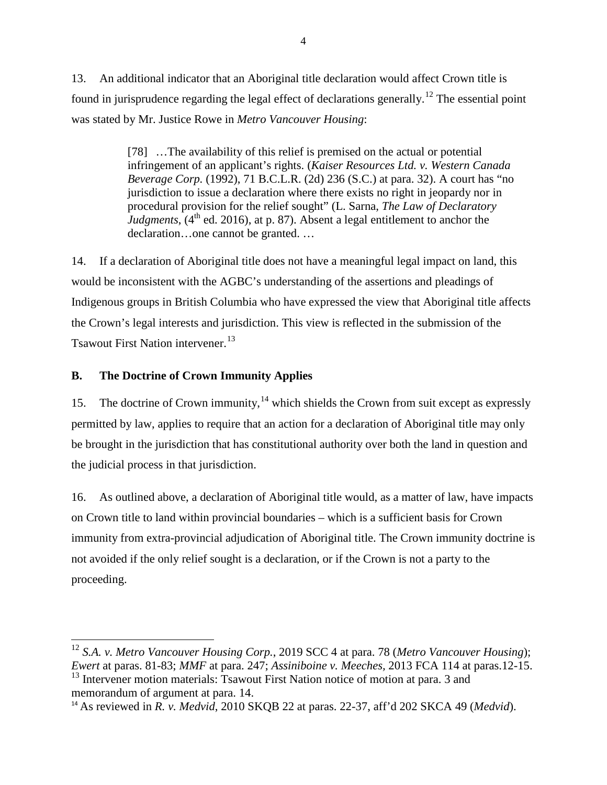13. An additional indicator that an Aboriginal title declaration would affect Crown title is found in jurisprudence regarding the legal effect of declarations generally.[12](#page-9-1) The essential point was stated by Mr. Justice Rowe in *Metro Vancouver Housing*:

> [78] …The availability of this relief is premised on the actual or potential infringement of an applicant's rights. (*Kaiser Resources Ltd. v. Western Canada Beverage Corp.* (1992), 71 B.C.L.R. (2d) 236 (S.C.) at para. 32). A court has "no jurisdiction to issue a declaration where there exists no right in jeopardy nor in procedural provision for the relief sought" (L. Sarna, *The Law of Declaratory* Judgments,  $(4^{th}$  ed. 2016), at p. 87). Absent a legal entitlement to anchor the declaration…one cannot be granted. …

14. If a declaration of Aboriginal title does not have a meaningful legal impact on land, this would be inconsistent with the AGBC's understanding of the assertions and pleadings of Indigenous groups in British Columbia who have expressed the view that Aboriginal title affects the Crown's legal interests and jurisdiction. This view is reflected in the submission of the Tsawout First Nation intervener.<sup>[13](#page-9-2)</sup>

# <span id="page-9-0"></span>**B. The Doctrine of Crown Immunity Applies**

15. The doctrine of Crown immunity,  $14$  which shields the Crown from suit except as expressly permitted by law, applies to require that an action for a declaration of Aboriginal title may only be brought in the jurisdiction that has constitutional authority over both the land in question and the judicial process in that jurisdiction.

16. As outlined above, a declaration of Aboriginal title would, as a matter of law, have impacts on Crown title to land within provincial boundaries – which is a sufficient basis for Crown immunity from extra-provincial adjudication of Aboriginal title. The Crown immunity doctrine is not avoided if the only relief sought is a declaration, or if the Crown is not a party to the proceeding.

<span id="page-9-1"></span><sup>12</sup> *S.A. v. Metro Vancouver Housing Corp.*, 2019 SCC 4 at para. 78 (*Metro Vancouver Housing*); *Ewert* at paras. 81-83; *MMF* at para. 247; *Assiniboine v. Meeches,* 2013 FCA 114 at paras.12-15. <sup>13</sup> Intervener motion materials: Tsawout First Nation notice of motion at para. 3 and memorandum of argument at para. 14.

<span id="page-9-3"></span><span id="page-9-2"></span><sup>14</sup> As reviewed in *R. v. Medvid*, 2010 SKQB 22 at paras. 22-37, aff'd 202 SKCA 49 (*Medvid*).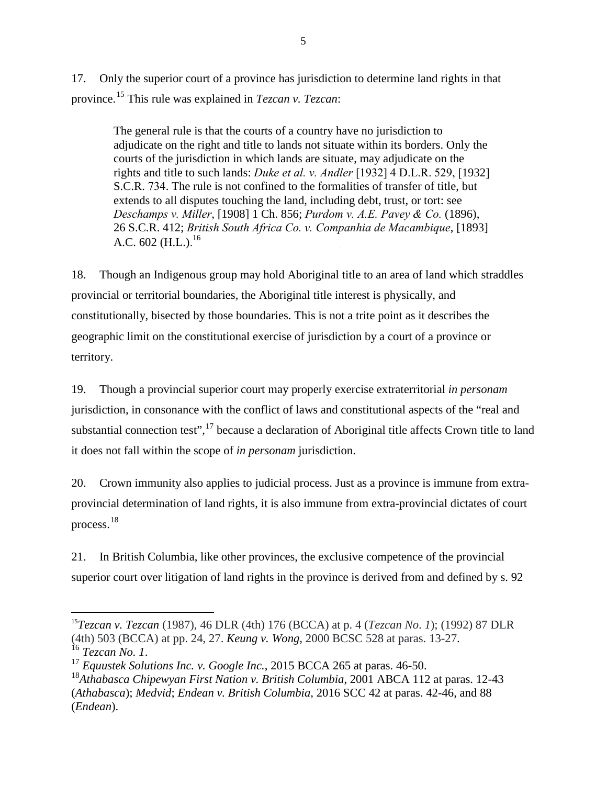17. Only the superior court of a province has jurisdiction to determine land rights in that province.[15](#page-10-0) This rule was explained in *Tezcan v. Tezcan*:

The general rule is that the courts of a country have no jurisdiction to adjudicate on the right and title to lands not situate within its borders. Only the courts of the jurisdiction in which lands are situate, may adjudicate on the rights and title to such lands: *Duke et al. v. Andler* [1932] [4 D.L.R. 529, \[](https://www.canlii.org/en/ca/scc/doc/1932/1932canlii32/1932canlii32.html)1932] [S.C.R.](https://www.canlii.org/en/ca/scc/doc/1932/1932canlii32/1932canlii32.html) 734. The rule is not confined to the formalities of transfer of title, but extends to all disputes touching the land, including debt, trust, or tort: see *Deschamps v. Miller*, [1908] 1 Ch. 856; *Purdom v. A.E. Pavey & Co.* (1896), 26 S.C.R. 412; *British South Africa Co. v. Companhia de Macambique*, [1893] A.C. 602 (H.L.). $^{16}$  $^{16}$  $^{16}$ 

18. Though an Indigenous group may hold Aboriginal title to an area of land which straddles provincial or territorial boundaries, the Aboriginal title interest is physically, and constitutionally, bisected by those boundaries. This is not a trite point as it describes the geographic limit on the constitutional exercise of jurisdiction by a court of a province or territory.

19. Though a provincial superior court may properly exercise extraterritorial *in personam* jurisdiction, in consonance with the conflict of laws and constitutional aspects of the "real and substantial connection test",<sup>[17](#page-10-2)</sup> because a declaration of Aboriginal title affects Crown title to land it does not fall within the scope of *in personam* jurisdiction.

20. Crown immunity also applies to judicial process. Just as a province is immune from extraprovincial determination of land rights, it is also immune from extra-provincial dictates of court process.[18](#page-10-3)

21. In British Columbia, like other provinces, the exclusive competence of the provincial superior court over litigation of land rights in the province is derived from and defined by s. 92

<span id="page-10-0"></span><sup>&</sup>lt;sup>15</sup>*Tezcan v. Tezcan* (1987), 46 DLR (4th) 176 (BCCA) at p. 4 (*Tezcan No. 1*); (1992) 87 DLR (4th) 503 (BCCA) at pp. 24, 27. *Keung v. Wong*, 2000 BCSC 528 at paras. 13-27. <sup>16</sup> Tezcan No. 1.<br><sup>17</sup> *Equustek Solutions Inc. v. Google Inc.*, 2015 BCCA 265 at paras. 46-50.

<span id="page-10-2"></span><span id="page-10-1"></span>

<span id="page-10-3"></span><sup>18</sup>*Athabasca Chipewyan First Nation v. British Columbia*, 2001 ABCA 112 at paras. 12-43 (*Athabasca*); *Medvid*; *Endean v. British Columbia*, 2016 SCC 42 at paras. 42-46, and 88 (*Endean*).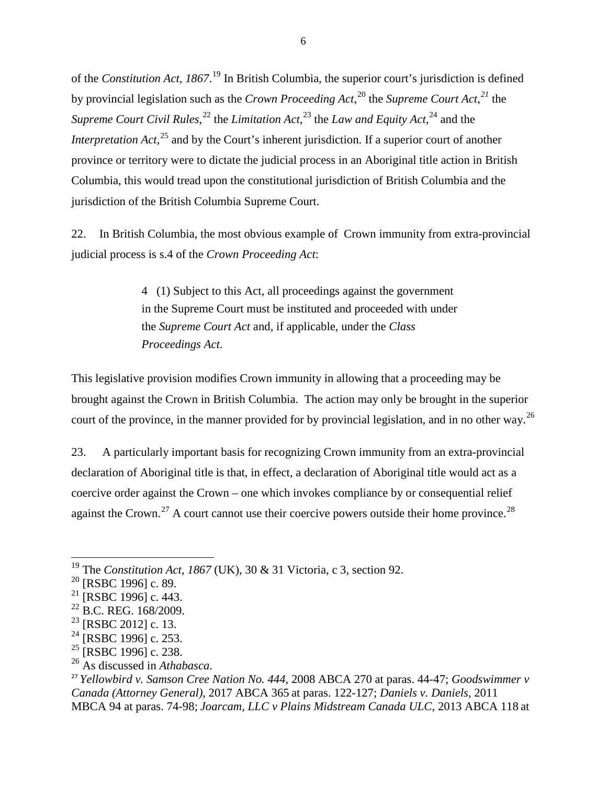of the *Constitution Act, 1867*. [19](#page-11-0) In British Columbia, the superior court's jurisdiction is defined by provincial legislation such as the *Crown Proceeding Act*, [20](#page-11-1) the *Supreme Court Act*, *[21](#page-11-2)* the Supreme Court Civil Rules,<sup>[22](#page-11-3)</sup> the Limitation Act,<sup>[23](#page-11-4)</sup> the *Law and Equity Act*,<sup>[24](#page-11-5)</sup> and the *Interpretation Act*,<sup>[25](#page-11-6)</sup> and by the Court's inherent jurisdiction. If a superior court of another province or territory were to dictate the judicial process in an Aboriginal title action in British Columbia, this would tread upon the constitutional jurisdiction of British Columbia and the jurisdiction of the British Columbia Supreme Court.

22. In British Columbia, the most obvious example of Crown immunity from extra-provincial judicial process is s.4 of the *Crown Proceeding Act*:

> 4 (1) Subject to this Act, all proceedings against the government in the Supreme Court must be instituted and proceeded with under the *[Supreme Court Act](http://www.bclaws.ca/civix/document/id/complete/statreg/96443_01)* and, if applicable, under the *[Class](http://www.bclaws.ca/civix/document/id/complete/statreg/96050_01)  [Proceedings Act](http://www.bclaws.ca/civix/document/id/complete/statreg/96050_01)*.

This legislative provision modifies Crown immunity in allowing that a proceeding may be brought against the Crown in British Columbia. The action may only be brought in the superior court of the province, in the manner provided for by provincial legislation, and in no other way.<sup>[26](#page-11-7)</sup>

23. A particularly important basis for recognizing Crown immunity from an extra-provincial declaration of Aboriginal title is that, in effect, a declaration of Aboriginal title would act as a coercive order against the Crown – one which invokes compliance by or consequential relief against the Crown.<sup>[27](#page-11-8)</sup> A court cannot use their coercive powers outside their home province.<sup>[28](#page-11-9)</sup>

- <span id="page-11-5"></span> $^{24}$  [RSBC 1996] c. 253.
- <span id="page-11-6"></span> $25$  [RSBC 1996] c. 238.
- <span id="page-11-7"></span><sup>26</sup> As discussed in *Athabasca*.

<span id="page-11-0"></span><sup>&</sup>lt;sup>19</sup> The *Constitution Act, 1867* (UK), 30 & 31 Victoria, c 3, section 92.<br><sup>20</sup> [RSBC 1996] c. 89.

<span id="page-11-2"></span><span id="page-11-1"></span> $^{21}$  [RSBC 1996] c. 443.

<span id="page-11-3"></span><sup>&</sup>lt;sup>22</sup> B.C. REG. 168/2009.

<span id="page-11-9"></span><span id="page-11-4"></span><sup>&</sup>lt;sup>23</sup> [RSBC 2012] c. 13.

<span id="page-11-8"></span><sup>27</sup> *Yellowbird v. Samson Cree Nation No. 444*, 2008 ABCA 270 at paras. 44-47; *Goodswimmer v Canada (Attorney General)*, 2017 ABCA 365 at paras. 122-127; *Daniels v. Daniels*, 2011 MBCA 94 at paras. 74-98; *Joarcam, LLC v Plains Midstream Canada ULC*, 2013 ABCA 118 at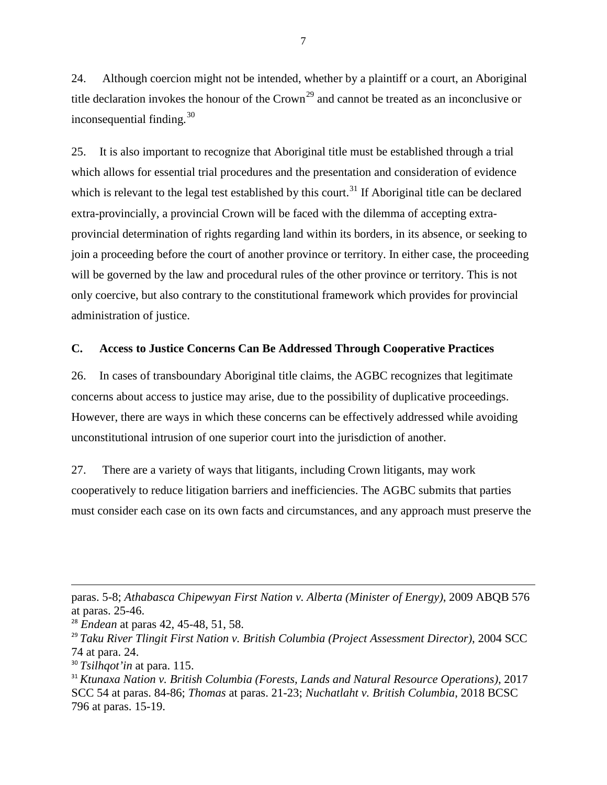24. Although coercion might not be intended, whether by a plaintiff or a court, an Aboriginal title declaration invokes the honour of the  $Crown<sup>29</sup>$  $Crown<sup>29</sup>$  $Crown<sup>29</sup>$  and cannot be treated as an inconclusive or inconsequential finding. $30$ 

25. It is also important to recognize that Aboriginal title must be established through a trial which allows for essential trial procedures and the presentation and consideration of evidence which is relevant to the legal test established by this court.<sup>[31](#page-12-3)</sup> If Aboriginal title can be declared extra-provincially, a provincial Crown will be faced with the dilemma of accepting extraprovincial determination of rights regarding land within its borders, in its absence, or seeking to join a proceeding before the court of another province or territory. In either case, the proceeding will be governed by the law and procedural rules of the other province or territory. This is not only coercive, but also contrary to the constitutional framework which provides for provincial administration of justice.

#### <span id="page-12-0"></span>**C. Access to Justice Concerns Can Be Addressed Through Cooperative Practices**

26. In cases of transboundary Aboriginal title claims, the AGBC recognizes that legitimate concerns about access to justice may arise, due to the possibility of duplicative proceedings. However, there are ways in which these concerns can be effectively addressed while avoiding unconstitutional intrusion of one superior court into the jurisdiction of another.

27. There are a variety of ways that litigants, including Crown litigants, may work cooperatively to reduce litigation barriers and inefficiencies. The AGBC submits that parties must consider each case on its own facts and circumstances, and any approach must preserve the

 $\overline{\phantom{a}}$ 

paras. 5-8; *Athabasca Chipewyan First Nation v. Alberta (Minister of Energy)*, 2009 ABQB 576 at paras. 25-46.

<sup>28</sup> *Endean* at paras 42, 45-48, 51, 58.

<span id="page-12-1"></span><sup>29</sup> *Taku River Tlingit First Nation v. British Columbia (Project Assessment Director)*, 2004 SCC 74 at para. 24.

<span id="page-12-2"></span><sup>30</sup> *Tsilhqot'in* at para. 115.

<span id="page-12-3"></span><sup>31</sup> *Ktunaxa Nation v. British Columbia (Forests, Lands and Natural Resource Operations)*, 2017 SCC 54 at paras. 84-86; *Thomas* at paras. 21-23; *Nuchatlaht v. British Columbia*, 2018 BCSC 796 at paras. 15-19.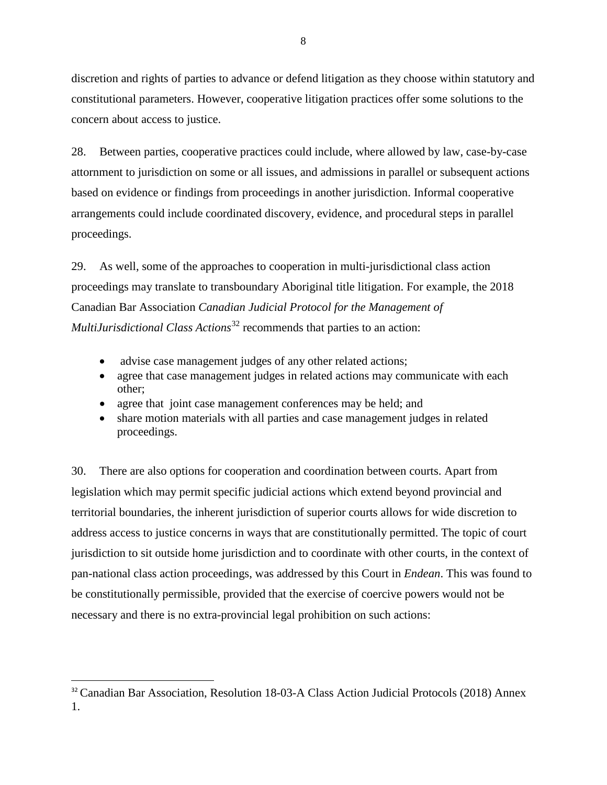discretion and rights of parties to advance or defend litigation as they choose within statutory and constitutional parameters. However, cooperative litigation practices offer some solutions to the concern about access to justice.

28. Between parties, cooperative practices could include, where allowed by law, case-by-case attornment to jurisdiction on some or all issues, and admissions in parallel or subsequent actions based on evidence or findings from proceedings in another jurisdiction. Informal cooperative arrangements could include coordinated discovery, evidence, and procedural steps in parallel proceedings.

29. As well, some of the approaches to cooperation in multi-jurisdictional class action proceedings may translate to transboundary Aboriginal title litigation. For example, the 2018 Canadian Bar Association *Canadian Judicial Protocol for the Management of MultiJurisdictional Class Actions*<sup>[32](#page-13-0)</sup> recommends that parties to an action:

- advise case management judges of any other related actions;
- agree that case management judges in related actions may communicate with each other;
- agree that joint case management conferences may be held; and
- share motion materials with all parties and case management judges in related proceedings.

30. There are also options for cooperation and coordination between courts. Apart from legislation which may permit specific judicial actions which extend beyond provincial and territorial boundaries, the inherent jurisdiction of superior courts allows for wide discretion to address access to justice concerns in ways that are constitutionally permitted. The topic of court jurisdiction to sit outside home jurisdiction and to coordinate with other courts, in the context of pan-national class action proceedings, was addressed by this Court in *Endean*. This was found to be constitutionally permissible, provided that the exercise of coercive powers would not be necessary and there is no extra-provincial legal prohibition on such actions:

<span id="page-13-0"></span><sup>&</sup>lt;sup>32</sup> Canadian Bar Association, Resolution 18-03-A Class Action Judicial Protocols (2018) Annex 1.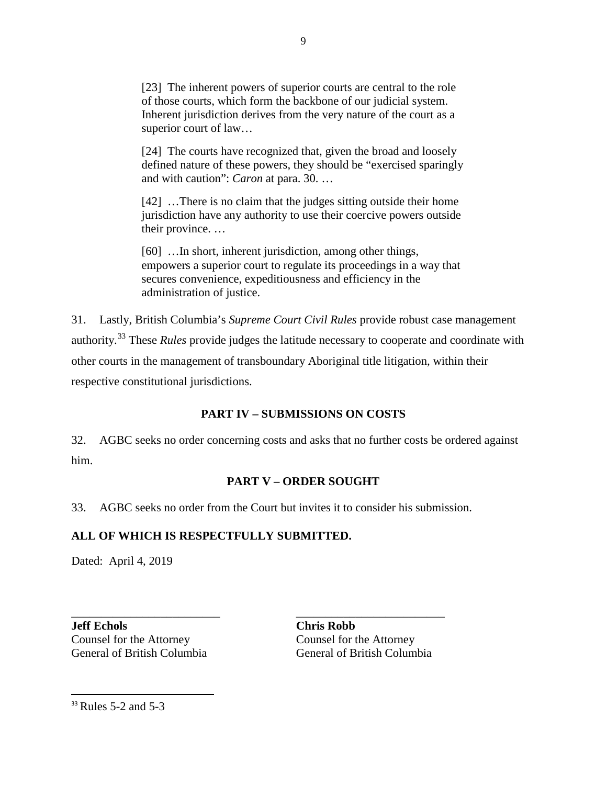[23] The inherent powers of superior courts are central to the role of those courts, which form the backbone of our judicial system. Inherent jurisdiction derives from the very nature of the court as a superior court of law…

[24] The courts have recognized that, given the broad and loosely defined nature of these powers, they should be "exercised sparingly and with caution": *Caron* at para. 30. …

[42] …There is no claim that the judges sitting outside their home jurisdiction have any authority to use their coercive powers outside their province. …

[60] …In short, inherent jurisdiction, among other things, empowers a superior court to regulate its proceedings in a way that secures convenience, expeditiousness and efficiency in the administration of justice.

31. Lastly, British Columbia's *Supreme Court Civil Rules* provide robust case management authority.[33](#page-14-2) These *Rules* provide judges the latitude necessary to cooperate and coordinate with other courts in the management of transboundary Aboriginal title litigation, within their respective constitutional jurisdictions.

# **PART IV – SUBMISSIONS ON COSTS**

<span id="page-14-0"></span>32. AGBC seeks no order concerning costs and asks that no further costs be ordered against him.

# **PART V – ORDER SOUGHT**

<span id="page-14-1"></span>33. AGBC seeks no order from the Court but invites it to consider his submission.

\_\_\_\_\_\_\_\_\_\_\_\_\_\_\_\_\_\_\_\_\_\_\_\_\_ \_\_\_\_\_\_\_\_\_\_\_\_\_\_\_\_\_\_\_\_\_\_\_\_\_

# **ALL OF WHICH IS RESPECTFULLY SUBMITTED.**

Dated: April 4, 2019

<span id="page-14-2"></span>**Jeff Echols Chris Robb** Counsel for the Attorney Counsel for the Attorney

General of British Columbia General of British Columbia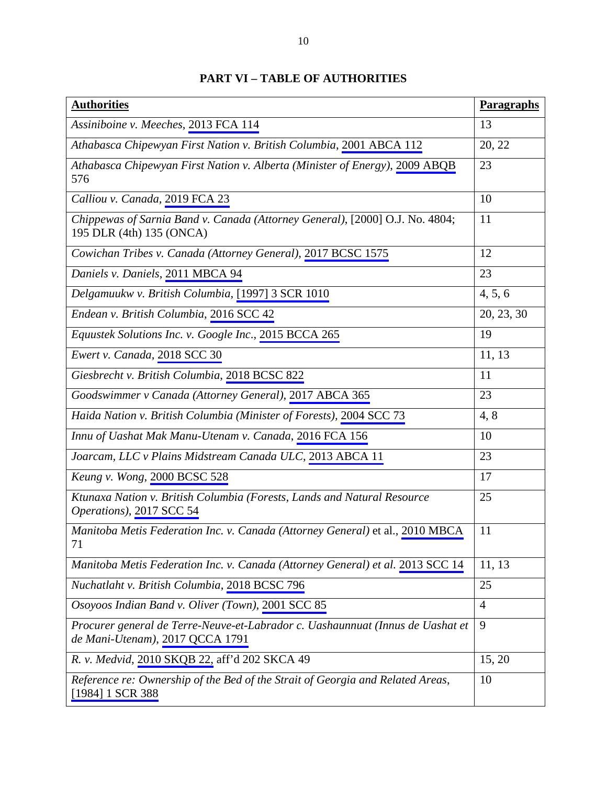| <b>Authorities</b>                                                                                                | Paragraphs     |
|-------------------------------------------------------------------------------------------------------------------|----------------|
| Assiniboine v. Meeches, 2013 FCA 114                                                                              | 13             |
| Athabasca Chipewyan First Nation v. British Columbia, 2001 ABCA 112                                               | 20, 22         |
| Athabasca Chipewyan First Nation v. Alberta (Minister of Energy), 2009 ABQB<br>576                                | 23             |
| Calliou v. Canada, 2019 FCA 23                                                                                    | 10             |
| Chippewas of Sarnia Band v. Canada (Attorney General), [2000] O.J. No. 4804;<br>195 DLR (4th) 135 (ONCA)          | 11             |
| Cowichan Tribes v. Canada (Attorney General), 2017 BCSC 1575                                                      | 12             |
| Daniels v. Daniels, 2011 MBCA 94                                                                                  | 23             |
| Delgamuukw v. British Columbia, [1997] 3 SCR 1010                                                                 | 4, 5, 6        |
| Endean v. British Columbia, 2016 SCC 42                                                                           | 20, 23, 30     |
| Equustek Solutions Inc. v. Google Inc., 2015 BCCA 265                                                             | 19             |
| Ewert v. Canada, 2018 SCC 30                                                                                      | 11, 13         |
| Giesbrecht v. British Columbia, 2018 BCSC 822                                                                     | 11             |
| Goodswimmer v Canada (Attorney General), 2017 ABCA 365                                                            | 23             |
| Haida Nation v. British Columbia (Minister of Forests), 2004 SCC 73                                               | 4,8            |
| Innu of Uashat Mak Manu-Utenam v. Canada, 2016 FCA 156                                                            | 10             |
| Joarcam, LLC v Plains Midstream Canada ULC, 2013 ABCA 11                                                          | 23             |
| Keung v. Wong, 2000 BCSC 528                                                                                      | 17             |
| Ktunaxa Nation v. British Columbia (Forests, Lands and Natural Resource<br>Operations), 2017 SCC 54               | 25             |
| Manitoba Metis Federation Inc. v. Canada (Attorney General) et al., 2010 MBCA<br>71                               | 11             |
| Manitoba Metis Federation Inc. v. Canada (Attorney General) et al. 2013 SCC 14                                    | 11, 13         |
| Nuchatlaht v. British Columbia, 2018 BCSC 796                                                                     | 25             |
| Osoyoos Indian Band v. Oliver (Town), 2001 SCC 85                                                                 | $\overline{4}$ |
| Procurer general de Terre-Neuve-et-Labrador c. Uashaunnuat (Innus de Uashat et<br>de Mani-Utenam), 2017 QCCA 1791 | 9              |
| R. v. Medvid, 2010 SKQB 22, aff'd 202 SKCA 49                                                                     | 15, 20         |
| Reference re: Ownership of the Bed of the Strait of Georgia and Related Areas,<br>[1984] 1 SCR 388                | 10             |

# **PART VI – TABLE OF AUTHORITIES**